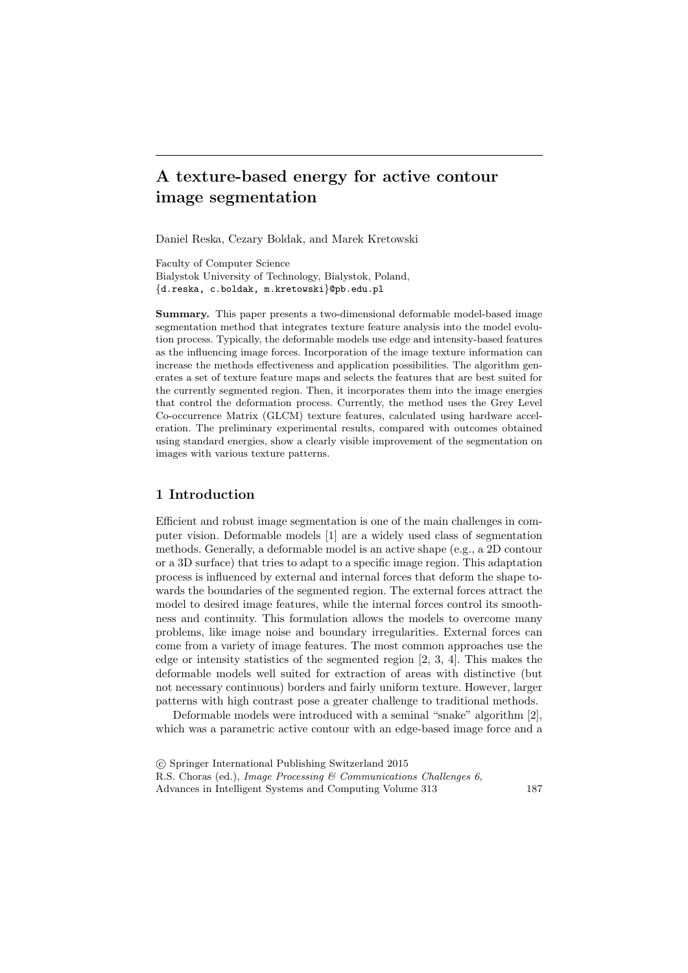# **A texture-based energy for active contour image segmentation**

Daniel Reska, Cezary Boldak, and Marek Kretowski

Faculty of Computer Science Bialystok University of Technology, Bialystok, Poland, *{*d.reska, c.boldak, m.kretowski*}*@pb.edu.pl

**Summary.** This paper presents a two-dimensional deformable model-based image segmentation method that integrates texture feature analysis into the model evolution process. Typically, the deformable models use edge and intensity-based features as the influencing image forces. Incorporation of the image texture information can increase the methods effectiveness and application possibilities. The algorithm generates a set of texture feature maps and selects the features that are best suited for the currently segmented region. Then, it incorporates them into the image energies that control the deformation process. Currently, the method uses the Grey Level Co-occurrence Matrix (GLCM) texture features, calculated using hardware acceleration. The preliminary experimental results, compared with outcomes obtained using standard energies, show a clearly visible improvement of the segmentation on images with various texture patterns.

# **1 Introduction**

Efficient and robust image segmentation is one of the main challenges in computer vision. Deformable models [1] are a widely used class of segmentation methods. Generally, a deformable model is an active shape (e.g., a 2D contour or a 3D surface) that tries to adapt to a specific image region. This adaptation process is influenced by external and internal forces that deform the shape towards the boundaries of the segmented region. The external forces attract the model to desired image features, while the internal forces control its smoothness and continuity. This formulation allows the models to overcome many problems, like image noise and boundary irregularities. External forces can come from a variety of image features. The most common approaches use the edge or intensity statistics of the segmented region [2, 3, 4]. This makes the deformable models well suited for extraction of areas with distinctive (but not necessary continuous) borders and fairly uniform texture. However, larger patterns with high contrast pose a greater challenge to traditional methods.

Deformable models were introduced with a seminal "snake" algorithm [2], which was a parametric active contour with an edge-based image force and a

*<sup>⃝</sup>*c Springer International Publishing Switzerland 2015 R.S. Choras (ed.), *Image Processing & Communications Challenges 6*, Advances in Intelligent Systems and Computing Volume 313 187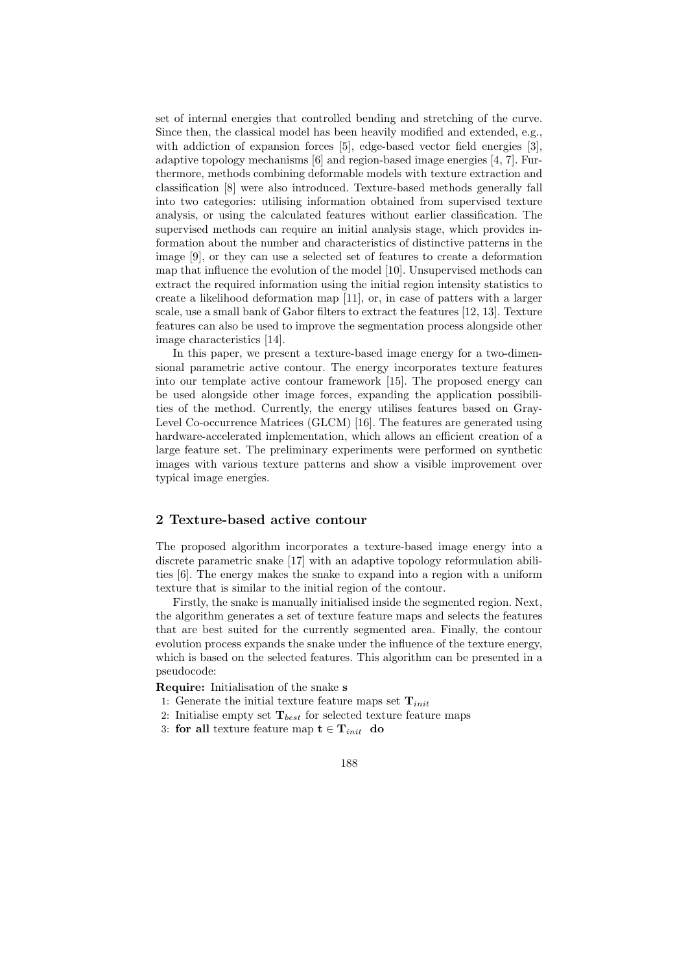set of internal energies that controlled bending and stretching of the curve. Since then, the classical model has been heavily modified and extended, e.g., with addiction of expansion forces [5], edge-based vector field energies [3], adaptive topology mechanisms [6] and region-based image energies [4, 7]. Furthermore, methods combining deformable models with texture extraction and classification [8] were also introduced. Texture-based methods generally fall into two categories: utilising information obtained from supervised texture analysis, or using the calculated features without earlier classification. The supervised methods can require an initial analysis stage, which provides information about the number and characteristics of distinctive patterns in the image [9], or they can use a selected set of features to create a deformation map that influence the evolution of the model [10]. Unsupervised methods can extract the required information using the initial region intensity statistics to create a likelihood deformation map [11], or, in case of patters with a larger scale, use a small bank of Gabor filters to extract the features [12, 13]. Texture features can also be used to improve the segmentation process alongside other image characteristics [14].

In this paper, we present a texture-based image energy for a two-dimensional parametric active contour. The energy incorporates texture features into our template active contour framework [15]. The proposed energy can be used alongside other image forces, expanding the application possibilities of the method. Currently, the energy utilises features based on Gray-Level Co-occurrence Matrices (GLCM) [16]. The features are generated using hardware-accelerated implementation, which allows an efficient creation of a large feature set. The preliminary experiments were performed on synthetic images with various texture patterns and show a visible improvement over typical image energies.

# **2 Texture-based active contour**

The proposed algorithm incorporates a texture-based image energy into a discrete parametric snake [17] with an adaptive topology reformulation abilities [6]. The energy makes the snake to expand into a region with a uniform texture that is similar to the initial region of the contour.

Firstly, the snake is manually initialised inside the segmented region. Next, the algorithm generates a set of texture feature maps and selects the features that are best suited for the currently segmented area. Finally, the contour evolution process expands the snake under the influence of the texture energy, which is based on the selected features. This algorithm can be presented in a pseudocode:

**Require:** Initialisation of the snake **s**

- 1: Generate the initial texture feature maps set **T***init*
- 2: Initialise empty set  $\mathbf{T}_{best}$  for selected texture feature maps
- 3: **for all** texture feature map  $\mathbf{t} \in \mathbf{T}_{init}$  **do** 
	- 188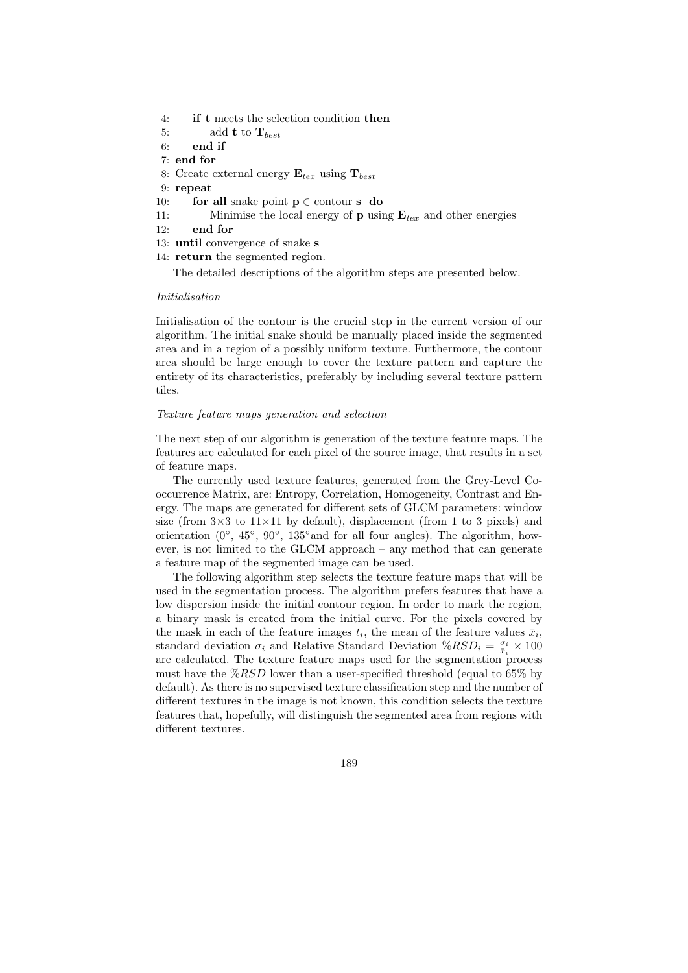- 4: **if t** meets the selection condition **then**
- 5: add **t** to **T***best*
- 6: **end if**
- 7: **end for**
- 8: Create external energy  $\mathbf{E}_{tex}$  using  $\mathbf{T}_{best}$
- 9: **repeat**
- 10: **for all** snake point  $p \in$  contour **s do** 11: Minimise the local energy of **p** using
- Minimise the local energy of **p** using  $\mathbf{E}_{tex}$  and other energies
- 12: **end for**
- 13: **until** convergence of snake **s**
- 14: **return** the segmented region.

The detailed descriptions of the algorithm steps are presented below.

### *Initialisation*

Initialisation of the contour is the crucial step in the current version of our algorithm. The initial snake should be manually placed inside the segmented area and in a region of a possibly uniform texture. Furthermore, the contour area should be large enough to cover the texture pattern and capture the entirety of its characteristics, preferably by including several texture pattern tiles.

### *Texture feature maps generation and selection*

The next step of our algorithm is generation of the texture feature maps. The features are calculated for each pixel of the source image, that results in a set of feature maps.

The currently used texture features, generated from the Grey-Level Cooccurrence Matrix, are: Entropy, Correlation, Homogeneity, Contrast and Energy. The maps are generated for different sets of GLCM parameters: window size (from  $3\times3$  to  $11\times11$  by default), displacement (from 1 to 3 pixels) and orientation (0*◦* , 45*◦* , 90*◦* , 135*◦*and for all four angles). The algorithm, however, is not limited to the GLCM approach – any method that can generate a feature map of the segmented image can be used.

The following algorithm step selects the texture feature maps that will be used in the segmentation process. The algorithm prefers features that have a low dispersion inside the initial contour region. In order to mark the region, a binary mask is created from the initial curve. For the pixels covered by the mask in each of the feature images  $t_i$ , the mean of the feature values  $\bar{x}_i$ , standard deviation  $\sigma_i$  and Relative Standard Deviation  $\% RSD_i = \frac{\sigma_i}{\bar{x}_i} \times 100$ are calculated. The texture feature maps used for the segmentation process must have the %*RSD* lower than a user-specified threshold (equal to 65% by default). As there is no supervised texture classification step and the number of different textures in the image is not known, this condition selects the texture features that, hopefully, will distinguish the segmented area from regions with different textures.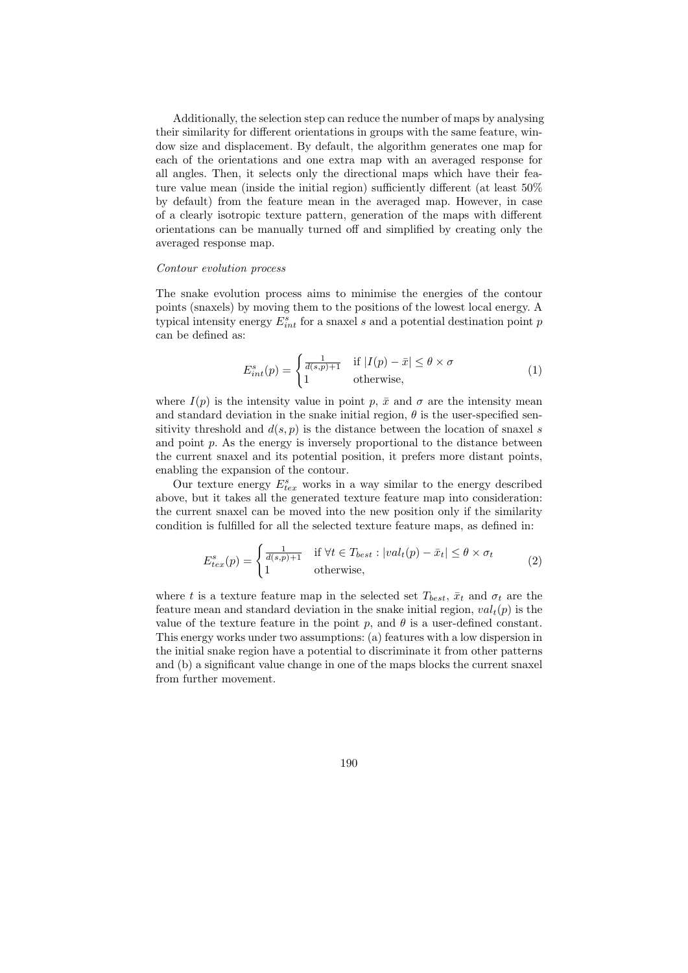Additionally, the selection step can reduce the number of maps by analysing their similarity for different orientations in groups with the same feature, window size and displacement. By default, the algorithm generates one map for each of the orientations and one extra map with an averaged response for all angles. Then, it selects only the directional maps which have their feature value mean (inside the initial region) sufficiently different (at least 50% by default) from the feature mean in the averaged map. However, in case of a clearly isotropic texture pattern, generation of the maps with different orientations can be manually turned off and simplified by creating only the averaged response map.

#### *Contour evolution process*

The snake evolution process aims to minimise the energies of the contour points (snaxels) by moving them to the positions of the lowest local energy. A typical intensity energy  $E_{int}^s$  for a snaxel *s* and a potential destination point *p* can be defined as:

$$
E_{int}^{s}(p) = \begin{cases} \frac{1}{d(s,p)+1} & \text{if } |I(p) - \bar{x}| \le \theta \times \sigma \\ 1 & \text{otherwise,} \end{cases}
$$
 (1)

where  $I(p)$  is the intensity value in point p,  $\bar{x}$  and  $\sigma$  are the intensity mean and standard deviation in the snake initial region,  $\theta$  is the user-specified sensitivity threshold and  $d(s, p)$  is the distance between the location of snaxel *s* and point  $p$ . As the energy is inversely proportional to the distance between the current snaxel and its potential position, it prefers more distant points, enabling the expansion of the contour.

Our texture energy  $E_{tex}^{s}$  works in a way similar to the energy described above, but it takes all the generated texture feature map into consideration: the current snaxel can be moved into the new position only if the similarity condition is fulfilled for all the selected texture feature maps, as defined in:

$$
E_{tex}^{s}(p) = \begin{cases} \frac{1}{d(s,p)+1} & \text{if } \forall t \in T_{best} : |val_t(p) - \bar{x}_t| \le \theta \times \sigma_t \\ 1 & \text{otherwise,} \end{cases}
$$
 (2)

where *t* is a texture feature map in the selected set  $T_{best}$ ,  $\bar{x}_t$  and  $\sigma_t$  are the feature mean and standard deviation in the snake initial region,  $val_t(p)$  is the value of the texture feature in the point  $p$ , and  $\theta$  is a user-defined constant. This energy works under two assumptions: (a) features with a low dispersion in the initial snake region have a potential to discriminate it from other patterns and (b) a significant value change in one of the maps blocks the current snaxel from further movement.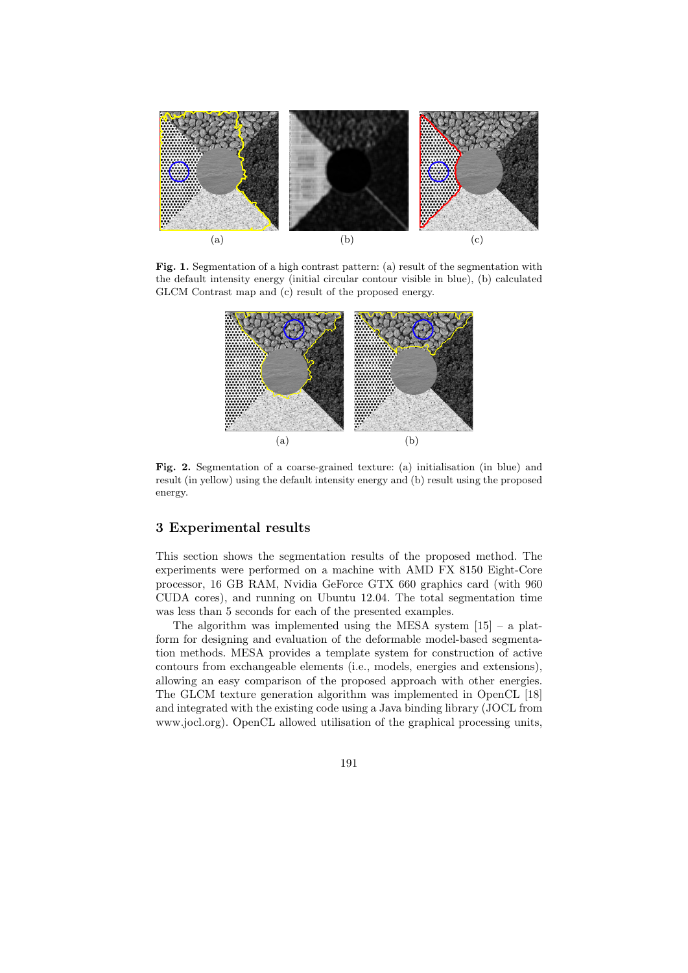

Fig. 1. Segmentation of a high contrast pattern: (a) result of the segmentation with the default intensity energy (initial circular contour visible in blue), (b) calculated GLCM Contrast map and (c) result of the proposed energy.



**Fig. 2.** Segmentation of a coarse-grained texture: (a) initialisation (in blue) and result (in yellow) using the default intensity energy and (b) result using the proposed energy.

# **3 Experimental results**

This section shows the segmentation results of the proposed method. The experiments were performed on a machine with AMD FX 8150 Eight-Core processor, 16 GB RAM, Nvidia GeForce GTX 660 graphics card (with 960 CUDA cores), and running on Ubuntu 12.04. The total segmentation time was less than 5 seconds for each of the presented examples.

The algorithm was implemented using the MESA system  $[15]$  – a platform for designing and evaluation of the deformable model-based segmentation methods. MESA provides a template system for construction of active contours from exchangeable elements (i.e., models, energies and extensions), allowing an easy comparison of the proposed approach with other energies. The GLCM texture generation algorithm was implemented in OpenCL [18] and integrated with the existing code using a Java binding library (JOCL from www.jocl.org). OpenCL allowed utilisation of the graphical processing units,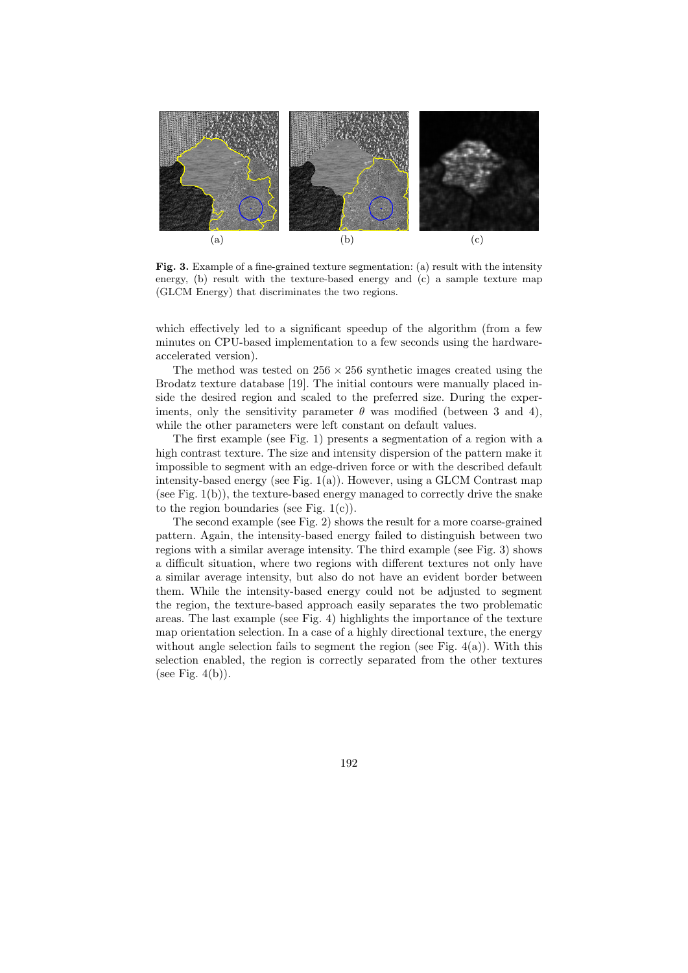

**Fig. 3.** Example of a fine-grained texture segmentation: (a) result with the intensity energy, (b) result with the texture-based energy and (c) a sample texture map (GLCM Energy) that discriminates the two regions.

which effectively led to a significant speedup of the algorithm (from a few minutes on CPU-based implementation to a few seconds using the hardwareaccelerated version).

The method was tested on  $256 \times 256$  synthetic images created using the Brodatz texture database [19]. The initial contours were manually placed inside the desired region and scaled to the preferred size. During the experiments, only the sensitivity parameter  $\theta$  was modified (between 3 and 4), while the other parameters were left constant on default values.

The first example (see Fig. 1) presents a segmentation of a region with a high contrast texture. The size and intensity dispersion of the pattern make it impossible to segment with an edge-driven force or with the described default intensity-based energy (see Fig.  $1(a)$ ). However, using a GLCM Contrast map (see Fig. 1(b)), the texture-based energy managed to correctly drive the snake to the region boundaries (see Fig.  $1(c)$ ).

The second example (see Fig. 2) shows the result for a more coarse-grained pattern. Again, the intensity-based energy failed to distinguish between two regions with a similar average intensity. The third example (see Fig. 3) shows a difficult situation, where two regions with different textures not only have a similar average intensity, but also do not have an evident border between them. While the intensity-based energy could not be adjusted to segment the region, the texture-based approach easily separates the two problematic areas. The last example (see Fig. 4) highlights the importance of the texture map orientation selection. In a case of a highly directional texture, the energy without angle selection fails to segment the region (see Fig.  $4(a)$ ). With this selection enabled, the region is correctly separated from the other textures (see Fig.  $4(b)$ ).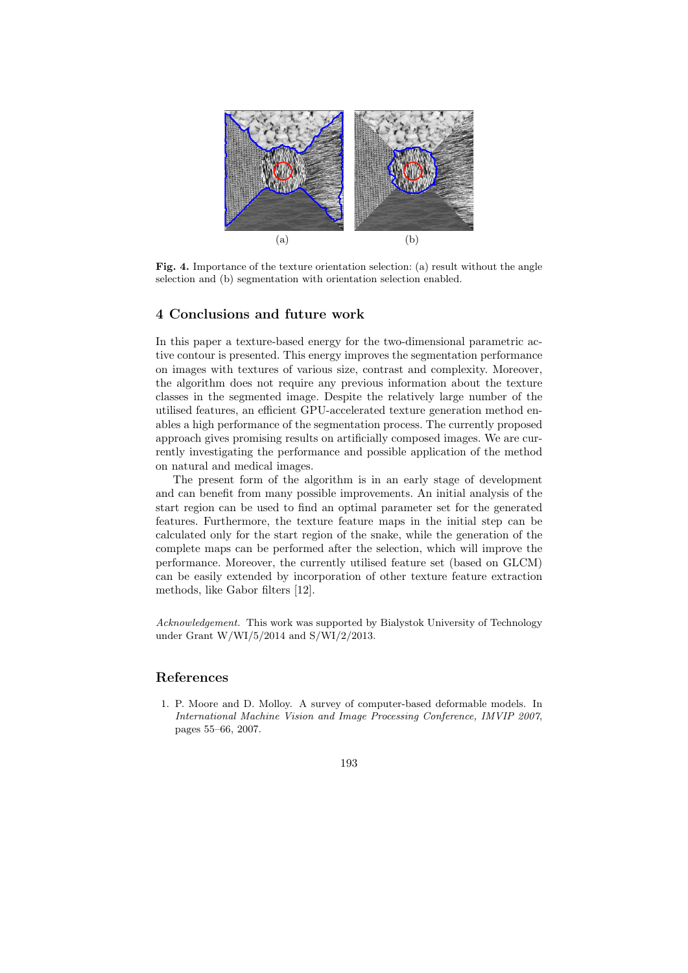

**Fig. 4.** Importance of the texture orientation selection: (a) result without the angle selection and (b) segmentation with orientation selection enabled.

# **4 Conclusions and future work**

In this paper a texture-based energy for the two-dimensional parametric active contour is presented. This energy improves the segmentation performance on images with textures of various size, contrast and complexity. Moreover, the algorithm does not require any previous information about the texture classes in the segmented image. Despite the relatively large number of the utilised features, an efficient GPU-accelerated texture generation method enables a high performance of the segmentation process. The currently proposed approach gives promising results on artificially composed images. We are currently investigating the performance and possible application of the method on natural and medical images.

The present form of the algorithm is in an early stage of development and can benefit from many possible improvements. An initial analysis of the start region can be used to find an optimal parameter set for the generated features. Furthermore, the texture feature maps in the initial step can be calculated only for the start region of the snake, while the generation of the complete maps can be performed after the selection, which will improve the performance. Moreover, the currently utilised feature set (based on GLCM) can be easily extended by incorporation of other texture feature extraction methods, like Gabor filters [12].

*Acknowledgement.* This work was supported by Bialystok University of Technology under Grant W/WI/5/2014 and S/WI/2/2013.

## **References**

1. P. Moore and D. Molloy. A survey of computer-based deformable models. In *International Machine Vision and Image Processing Conference, IMVIP 2007*, pages 55–66, 2007.